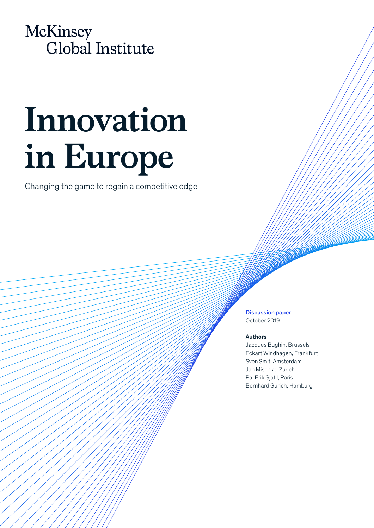

# **Innovation in Europe**

Changing the game to regain a competitive edge

Discussion paper October 2019

#### Authors

Jacques Bughin, Brussels Eckart Windhagen, Frankfurt Sven Smit, Amsterdam Jan Mischke, Zurich Pal Erik Sjatil, Paris Bernhard Gürich, Hamburg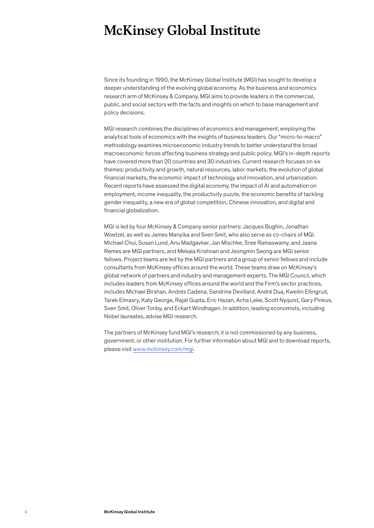## **McKinsey Global Institute**

Since its founding in 1990, the McKinsey Global Institute (MGI) has sought to develop a deeper understanding of the evolving global economy. As the business and economics research arm of McKinsey & Company, MGI aims to provide leaders in the commercial, public, and social sectors with the facts and insights on which to base management and policy decisions.

MGI research combines the disciplines of economics and management, employing the analytical tools of economics with the insights of business leaders. Our "micro-to-macro" methodology examines microeconomic industry trends to better understand the broad macroeconomic forces affecting business strategy and public policy. MGI's in-depth reports have covered more than 20 countries and 30 industries. Current research focuses on six themes: productivity and growth, natural resources, labor markets, the evolution of global financial markets, the economic impact of technology and innovation, and urbanization. Recent reports have assessed the digital economy, the impact of AI and automation on employment, income inequality, the productivity puzzle, the economic benefits of tackling gender inequality, a new era of global competition, Chinese innovation, and digital and financial globalization.

MGI is led by four McKinsey & Company senior partners: Jacques Bughin, Jonathan Woetzel, as well as James Manyika and Sven Smit, who also serve as co-chairs of MGI. Michael Chui, Susan Lund, Anu Madgavkar, Jan Mischke, Sree Ramaswamy, and Jaana Remes are MGI partners, and Mekala Krishnan and Jeongmin Seong are MGI senior fellows. Project teams are led by the MGI partners and a group of senior fellows and include consultants from McKinsey offices around the world. These teams draw on McKinsey's global network of partners and industry and management experts. The MGI Council, which includes leaders from McKinsey offices around the world and the Firm's sector practices, includes Michael Birshan, Andrés Cadena, Sandrine Devillard, André Dua, Kweilin Ellingrud, Tarek Elmasry, Katy George, Rajat Gupta, Eric Hazan, Acha Leke, Scott Nyquist, Gary Pinkus, Sven Smit, Oliver Tonby, and Eckart Windhagen. In addition, leading economists, including Nobel laureates, advise MGI research.

The partners of McKinsey fund MGI's research; it is not commissioned by any business, government, or other institution. For further information about MGI and to download reports, please visit [www.mckinsey.com/mgi](http://www.mckinsey.com/mgi).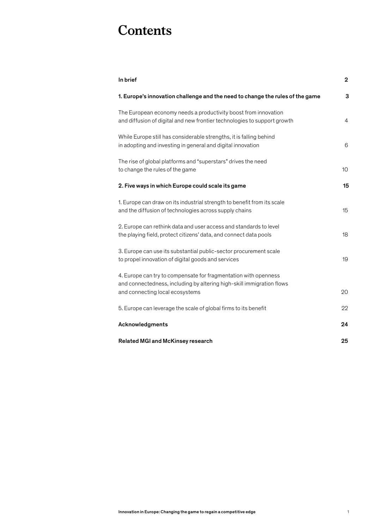### **Contents**

| In brief                                                                                                                                                                    | $\overline{2}$ |
|-----------------------------------------------------------------------------------------------------------------------------------------------------------------------------|----------------|
| 1. Europe's innovation challenge and the need to change the rules of the game                                                                                               | 3              |
| The European economy needs a productivity boost from innovation<br>and diffusion of digital and new frontier technologies to support growth                                 | $\overline{4}$ |
| While Europe still has considerable strengths, it is falling behind<br>in adopting and investing in general and digital innovation                                          | 6              |
| The rise of global platforms and "superstars" drives the need<br>to change the rules of the game                                                                            | 10             |
| 2. Five ways in which Europe could scale its game                                                                                                                           | 15             |
| 1. Europe can draw on its industrial strength to benefit from its scale<br>and the diffusion of technologies across supply chains                                           | 15             |
| 2. Europe can rethink data and user access and standards to level<br>the playing field, protect citizens' data, and connect data pools                                      | 18             |
| 3. Europe can use its substantial public-sector procurement scale<br>to propel innovation of digital goods and services                                                     | 19             |
| 4. Europe can try to compensate for fragmentation with openness<br>and connectedness, including by altering high-skill immigration flows<br>and connecting local ecosystems | 20             |
| 5. Europe can leverage the scale of global firms to its benefit                                                                                                             | 22             |
| Acknowledgments                                                                                                                                                             | 24             |
| <b>Related MGI and McKinsey research</b>                                                                                                                                    | 25             |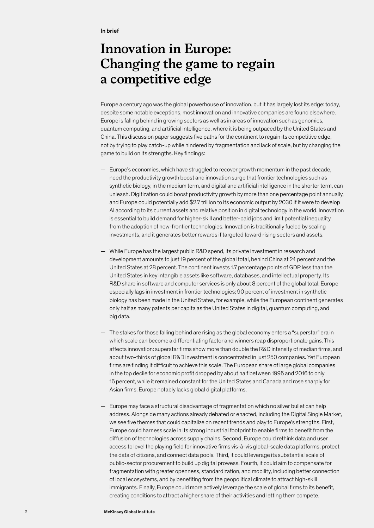### **Innovation in Europe: Changing the game to regain a competitive edge**

Europe a century ago was the global powerhouse of innovation, but it has largely lost its edge: today, despite some notable exceptions, most innovation and innovative companies are found elsewhere. Europe is falling behind in growing sectors as well as in areas of innovation such as genomics, quantum computing, and artificial intelligence, where it is being outpaced by the United States and China. This discussion paper suggests five paths for the continent to regain its competitive edge, not by trying to play catch-up while hindered by fragmentation and lack of scale, but by changing the game to build on its strengths. Key findings:

- Europe's economies, which have struggled to recover growth momentum in the past decade, need the productivity growth boost and innovation surge that frontier technologies such as synthetic biology, in the medium term, and digital and artificial intelligence in the shorter term, can unleash. Digitization could boost productivity growth by more than one percentage point annually, and Europe could potentially add \$2.7 trillion to its economic output by 2030 if it were to develop AI according to its current assets and relative position in digital technology in the world. Innovation is essential to build demand for higher-skill and better-paid jobs and limit potential inequality from the adoption of new-frontier technologies. Innovation is traditionally fueled by scaling investments, and it generates better rewards if targeted toward rising sectors and assets.
- While Europe has the largest public R&D spend, its private investment in research and development amounts to just 19 percent of the global total, behind China at 24 percent and the United States at 28 percent. The continent invests 1.7 percentage points of GDP less than the United States in key intangible assets like software, databases, and intellectual property. Its R&D share in software and computer services is only about 8 percent of the global total. Europe especially lags in investment in frontier technologies; 90 percent of investment in synthetic biology has been made in the United States, for example, while the European continent generates only half as many patents per capita as the United States in digital, quantum computing, and big data.
- The stakes for those falling behind are rising as the global economy enters a "superstar" era in which scale can become a differentiating factor and winners reap disproportionate gains. This affects innovation: superstar firms show more than double the R&D intensity of median firms, and about two-thirds of global R&D investment is concentrated in just 250 companies. Yet European firms are finding it difficult to achieve this scale. The European share of large global companies in the top decile for economic profit dropped by about half between 1995 and 2016 to only 16 percent, while it remained constant for the United States and Canada and rose sharply for Asian firms. Europe notably lacks global digital platforms.
- Europe may face a structural disadvantage of fragmentation which no silver bullet can help address. Alongside many actions already debated or enacted, including the Digital Single Market, we see five themes that could capitalize on recent trends and play to Europe's strengths. First, Europe could harness scale in its strong industrial footprint to enable firms to benefit from the diffusion of technologies across supply chains. Second, Europe could rethink data and user access to level the playing field for innovative firms vis-à-vis global-scale data platforms, protect the data of citizens, and connect data pools. Third, it could leverage its substantial scale of public-sector procurement to build up digital prowess. Fourth, it could aim to compensate for fragmentation with greater openness, standardization, and mobility, including better connection of local ecosystems, and by benefiting from the geopolitical climate to attract high-skill immigrants. Finally, Europe could more actively leverage the scale of global firms to its benefit, creating conditions to attract a higher share of their activities and letting them compete.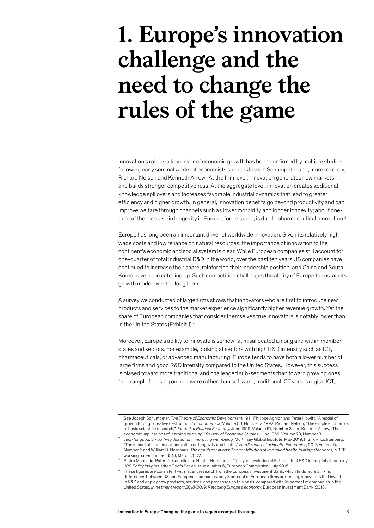## <span id="page-4-0"></span>**1. Europe's innovation challenge and the need to change the rules of the game**

Innovation's role as a key driver of economic growth has been confirmed by multiple studies following early seminal works of economists such as Joseph Schumpeter and, more recently, Richard Nelson and Kenneth Arrow.<sup>1</sup> At the firm level, innovation generates new markets and builds stronger competitiveness. At the aggregate level, innovation creates additional knowledge spillovers and increases favorable industrial dynamics that lead to greater efficiency and higher growth. In general, innovation benefits go beyond productivity and can improve welfare through channels such as lower morbidity and longer longevity; about onethird of the increase in longevity in Europe, for instance, is due to pharmaceutical innovation.2

Europe has long been an important driver of worldwide innovation. Given its relatively high wage costs and low reliance on natural resources, the importance of innovation to the continent's economic and social system is clear. While European companies still account for one-quarter of total industrial R&D in the world, over the past ten years US companies have continued to increase their share, reinforcing their leadership position, and China and South Korea have been catching up. Such competition challenges the ability of Europe to sustain its growth model over the long term.3

A survey we conducted of large firms shows that innovators who are first to introduce new products and services to the market experience significantly higher revenue growth. Yet the share of European companies that consider themselves true innovators is notably lower than in the United States (Exhibit 1).4

Moreover, Europe's ability to innovate is somewhat misallocated among and within member states and sectors. For example, looking at sectors with high R&D intensity such as ICT, pharmaceuticals, or advanced manufacturing, Europe tends to have both a lower number of large firms and good R&D intensity compared to the United States. However, this success is biased toward more traditional and challenged sub-segments than toward growing ones, for example focusing on hardware rather than software, traditional ICT versus digital ICT,

<sup>1</sup> See Joseph Schumpeter, *The Theory of Economic Development,* 1911; Philippe Aghion and Peter Howitt, "A model of growth through creative destruction," *Econometrica*, Volume 60, Number 2, 1992; Richard Nelson, "The simple economics of basic scientific research," *Journal of Political Economy*, June 1959, Volume 67, Number 3; and Kenneth Arrow, "The economic implications of learning by doing," *Review of Economic Studies,* June 1962, Volume 29, Number 3.

<sup>2</sup> *Tech for good: Smoothing disruption, improving well-being,* McKinsey Global Institute, May 2019; Frank R. Lichtenberg, "The impact of biomedical innovation on longevity and health," *Nordic Journal of Health Economics,* 2017, Volume 5, Number 1; and William D. Nordhaus, *The health of nations: The contribution of improved health to living standards*, NBER working paper number 8818, March 2002.

<sup>3</sup> Pietro Moncada-Paternò-Castello and Hector Hernandez, "Ten-year evolution of EU industrial R&D in the global context," *JRC Policy Insights,* Iritec Briefs Series issue number 6, European Commission, July 2018.

<sup>4</sup> These figures are consistent with recent research from the European Investment Bank, which finds more striking differences between US and European companies: only 8 percent of European firms are leading innovators that invest in R&D and deploy new products, services, and processes on this basis, compared with 16 percent of companies in the United States. *Investment report 2018/2019: Retooling Europe's economy*, European Investment Bank, 2018.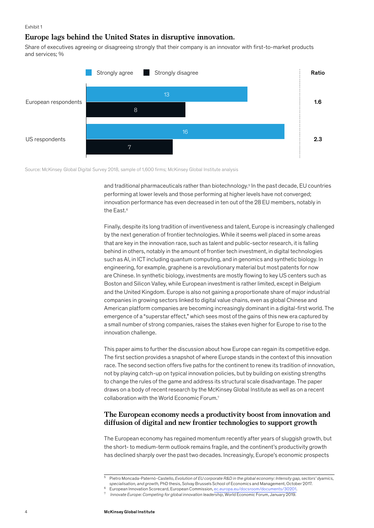Exhibit 1

#### **Europe lags behind the United States in disruptive innovation.**

Share of executives agreeing or disagreeing strongly that their company is an innovator with first-to-market products and services; %



Source: McKinsey Global Digital Survey 2018, sample of 1,600 firms; McKinsey Global Institute analysis

and traditional pharmaceuticals rather than biotechnology.<sup>5</sup> In the past decade, EU countries performing at lower levels and those performing at higher levels have not converged; innovation performance has even decreased in ten out of the 28 EU members, notably in the East.<sup>6</sup>

Finally, despite its long tradition of inventiveness and talent, Europe is increasingly challenged by the next generation of frontier technologies. While it seems well placed in some areas that are key in the innovation race, such as talent and public-sector research, it is falling behind in others, notably in the amount of frontier tech investment, in digital technologies such as AI, in ICT including quantum computing, and in genomics and synthetic biology. In engineering, for example, graphene is a revolutionary material but most patents for now are Chinese. In synthetic biology, investments are mostly flowing to key US centers such as Boston and Silicon Valley, while European investment is rather limited, except in Belgium and the United Kingdom. Europe is also not gaining a proportionate share of major industrial companies in growing sectors linked to digital value chains, even as global Chinese and American platform companies are becoming increasingly dominant in a digital-first world. The emergence of a "superstar effect," which sees most of the gains of this new era captured by a small number of strong companies, raises the stakes even higher for Europe to rise to the innovation challenge.

This paper aims to further the discussion about how Europe can regain its competitive edge. The first section provides a snapshot of where Europe stands in the context of this innovation race. The second section offers five paths for the continent to renew its tradition of innovation, not by playing catch-up on typical innovation policies, but by building on existing strengths to change the rules of the game and address its structural scale disadvantage. The paper draws on a body of recent research by the McKinsey Global Institute as well as on a recent collaboration with the World Economic Forum.7

#### **The European economy needs a productivity boost from innovation and diffusion of digital and new frontier technologies to support growth**

The European economy has regained momentum recently after years of sluggish growth, but the short- to medium-term outlook remains fragile, and the continent's productivity growth has declined sharply over the past two decades. Increasingly, Europe's economic prospects

<sup>5</sup> Pietro Moncada-Paternò-Castello, *Evolution of EU corporate R&D in the global economy: Intensity gap, sectors' dyamics, specialisation, and growth,* PhD thesis, Solvay Brussels School of Economics and Management, October 2017.

<sup>6</sup> European Innovation Scorecard, European Commission, [ec.europa.eu/docsroom/documents/30201.](file:///C:\Users\Peter%20Gumbel\AppData\Local\Microsoft\Windows\INetCache\Content.Outlook\8ZRKYFBJ\ec.europa.eu\docsroom\documents\30201)

<sup>7</sup> *Innovate Europe: Competing for global innovation leadership*, World Economic Forum, January 2019.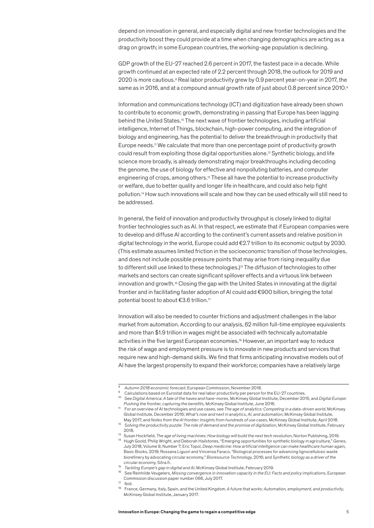<span id="page-6-0"></span>depend on innovation in general, and especially digital and new frontier technologies and the productivity boost they could provide at a time when changing demographics are acting as a drag on growth; in some European countries, the working-age population is declining.

GDP growth of the EU-27 reached 2.6 percent in 2017, the fastest pace in a decade. While growth continued at an expected rate of 2.2 percent through 2018, the outlook for 2019 and 2020 is more cautious.<sup>8</sup> Real labor productivity grew by 0.9 percent year-on-year in 2017, the same as in 2016, and at a compound annual growth rate of just about 0.8 percent since 2010.<sup>9</sup>

Information and communications technology (ICT) and digitization have already been shown to contribute to economic growth, demonstrating in passing that Europe has been lagging behind the United States.<sup>10</sup> The next wave of frontier technologies, including artificial intelligence, Internet of Things, blockchain, high-power computing, and the integration of biology and engineering, has the potential to deliver the breakthrough in productivity that Europe needs.<sup>11</sup> We calculate that more than one percentage point of productivity growth could result from exploiting those digital opportunities alone.12 Synthetic biology, and life science more broadly, is already demonstrating major breakthroughs including decoding the genome, the use of biology for effective and nonpolluting batteries, and computer engineering of crops, among others.13 These all have the potential to increase productivity or welfare, due to better quality and longer life in healthcare, and could also help fight pollution.14 How such innovations will scale and how they can be used ethically will still need to be addressed.

In general, the field of innovation and productivity throughput is closely linked to digital frontier technologies such as AI. In that respect, we estimate that if European companies were to develop and diffuse AI according to the continent's current assets and relative position in digital technology in the world, Europe could add €2.7 trillion to its economic output by 2030. (This estimate assumes limited friction in the socioeconomic transition of those technologies, and does not include possible pressure points that may arise from rising inequality due to different skill use linked to these technologies.)<sup>15</sup> The diffusion of technologies to other markets and sectors can create significant spillover effects and a virtuous link between innovation and growth.<sup>16</sup> Closing the gap with the United States in innovating at the digital frontier and in facilitating faster adoption of AI could add €900 billion, bringing the total potential boost to about €3.6 trillion.17

Innovation will also be needed to counter frictions and adjustment challenges in the labor market from automation. According to our analysis, 62 million full-time employee equivalents and more than \$1.9 trillion in wages might be associated with technically automatable activities in the five largest European economies.18 However, an important way to reduce the risk of wage and employment pressure is to innovate in new products and services that require new and high-demand skills. We find that firms anticipating innovative models out of AI have the largest propensity to expand their workforce; companies have a relatively large

<sup>8</sup> *Autumn 2018 economic forecast*, European Commission, November 2018.

<sup>&</sup>lt;sup>9</sup> Calculations based on Eurostat data for real labor productivity per person for the EU-27 countries.<br><sup>10</sup> See Digital Assessment data of the house and house were a Making with hell lastitute. Describes 00:

<sup>10</sup> See *Digital America: A tale of the haves and have-mores*, McKinsey Global Institute, December 2015, and *Digital Europe: Pushing the frontier, capturing the benefits,* McKinsey Global Institute, June 2016.

<sup>11</sup> For an overview of AI technologies and use cases, see *The age of analytics: Competing in a data-driven world*, McKinsey Global Institute, December 2016; *What's now and next in analytics, AI, and automation*, McKinsey Global Institute, May 2017; and *Notes from the AI frontier: Insights from hundreds of use cases*, McKinsey Global Institute, April 2018.

<sup>12</sup> *Solving the productivity puzzle: The role of demand and the promise of digitization*, McKinsey Global Institute, February 2018.

<sup>13</sup> Susan Hockfield, *The age of living machines: How biology will build the next tech revolution*, Norton Publishing, 2019. <sup>14</sup> Hugh Goold, Philip Wright, and Deborah Hailstones, "Emerging opportunities for synthetic biology in agriculture," *Genes,*  July 2018, Volume 9, Number 7; Eric Topol, *Deep medicine: How artificial intelligence can make healthcare human again,* Basic Books, 2019; Rossana Liguori and Vincenza Faraco, "Biological processes for advancing lignocellulosic waste biorefinery by advocating circular economy," *Bioresource Technology,* 2016; and *Synthetic biology as a driver of the circular economy,* Sitra.fi.

<sup>15</sup> *Tackling Europe's gap in digital and AI*, McKinsey Global Institute, February 2019.

<sup>16</sup> See Reinhilde Veugelers, *Missing convergence in innovation capacity in the EU: Facts and policy implications*, European Commission discussion paper number 066, July 2017.

<sup>17</sup> Ibid.

<sup>18</sup> France, Germany, Italy, Spain, and the United Kingdom. *A future that works: Automation, employment, and productivity*, McKinsey Global Institute, January 2017.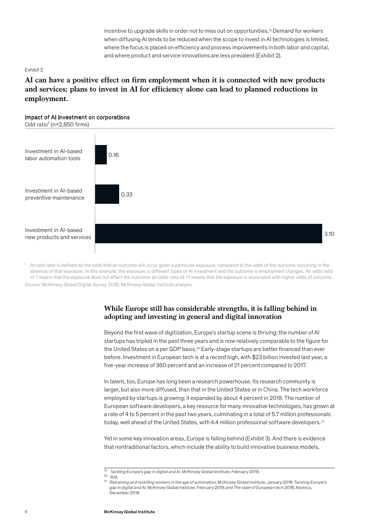incentive to upgrade skills in order not to miss out on opportunities.<sup>19</sup> Demand for workers when diffusing AI tends to be reduced when the scope to invest in AI technologies is limited, where the focus is placed on efficiency and process improvements in both labor and capital, and where product and service innovations are less prevalent (Exhibit 2).

#### Exhibit 2

**AI can have a positive effect on firm employment when it is connected with new products and services; plans to invest in AI for efficiency alone can lead to planned reductions in employment.**

#### Impact of AI investment on corporations

Odd ratio<sup>1</sup> ( $n=2,850$  firms)



Source: McKinsey Global Digital Survey 2018; McKinsey Global Institute analysis <sup>1</sup> An odd ratio is defined as the odds that an outcome will occur given a particular exposure, compared to the odds of the outcome occurring in the absence of that exposure. In this example, the exposure is different types of AI investment and the outcome is employment changes. An odds ratio of 1 means that the exposure does not affect the outcome; an odds ratio of >1 means that the exposure is associated with higher odds of outcome.

#### **While Europe still has considerable strengths, it is falling behind in adopting and investing in general and digital innovation**

Beyond the first wave of digitization, Europe's startup scene is thriving: the number of AI startups has tripled in the past three years and is now relatively comparable to the figure for the United States on a per GDP basis.<sup>20</sup> Early-stage startups are better financed than ever before. Investment in European tech is at a record high, with \$23 billion invested last year, a five-year increase of 360 percent and an increase of 21 percent compared to 2017.

In talent, too, Europe has long been a research powerhouse. Its research community is larger, but also more diffused, than that in the United States or in China. The tech workforce employed by startups is growing; it expanded by about 4 percent in 2018. The number of European software developers, a key resource for many innovative technologies, has grown at a rate of 4 to 5 percent in the past two years, culminating in a total of 5.7 million professionals today, well ahead of the United States, with 4.4 million professional software developers.<sup>21</sup>

Yet in some key innovation areas, Europe is falling behind (Exhibit 3). And there is evidence that nontraditional factors, which include the ability to build innovative business models,

<sup>19</sup> *Tackling Europe's gap in digital and AI*, McKinsey Global Institute, February 2019.

 $20$  Ibid.

<sup>21</sup> *Retraining and reskilling workers in the age of automation*, McKinsey Global Institute, January 2018; *Tackling Europe's gap in digital and AI,* McKinsey Global Institute, February 2019; and *The state of European tech 2018*, Atomico, December 2018.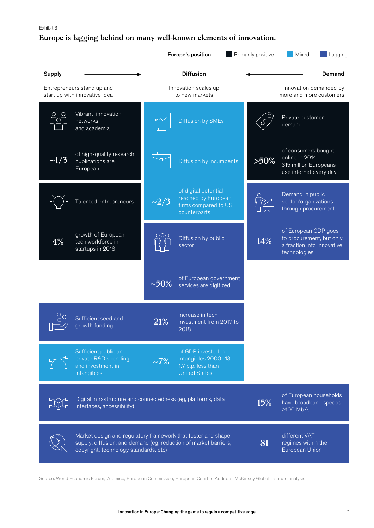#### <span id="page-8-0"></span>**Europe is lagging behind on many well-known elements of innovation.**

|               |                                                                                                                                                                           | Europe's position                      |                                                                                          |  | Primarily positive | Mixed                                                                                          | Lagging |
|---------------|---------------------------------------------------------------------------------------------------------------------------------------------------------------------------|----------------------------------------|------------------------------------------------------------------------------------------|--|--------------------|------------------------------------------------------------------------------------------------|---------|
| <b>Supply</b> |                                                                                                                                                                           |                                        | <b>Diffusion</b>                                                                         |  |                    |                                                                                                | Demand  |
|               | Entrepreneurs stand up and<br>start up with innovative idea                                                                                                               | Innovation scales up<br>to new markets |                                                                                          |  |                    | Innovation demanded by<br>more and more customers                                              |         |
|               | Vibrant innovation<br>networks<br>and academia                                                                                                                            |                                        | <b>Diffusion by SMEs</b>                                                                 |  |                    | Private customer<br>demand                                                                     |         |
| $\sim1/3$     | of high-quality research<br>publications are<br>European                                                                                                                  |                                        | Diffusion by incumbents                                                                  |  | $>50\%$            | of consumers bought<br>online in 2014;<br>315 million Europeans<br>use internet every day      |         |
|               | Talented entrepreneurs                                                                                                                                                    | $-2/3$                                 | of digital potential<br>reached by European<br>firms compared to US<br>counterparts      |  |                    | Demand in public<br>sector/organizations<br>through procurement                                |         |
| 4%            | growth of European<br>tech workforce in<br>startups in 2018                                                                                                               |                                        | Diffusion by public<br>sector                                                            |  | 14%                | of European GDP goes<br>to procurement, but only<br>a fraction into innovative<br>technologies |         |
|               |                                                                                                                                                                           | $~10\%$                                | of European government<br>services are digitized                                         |  |                    |                                                                                                |         |
|               | Sufficient seed and<br>growth funding                                                                                                                                     | 21%                                    | increase in tech<br>investment from 2017 to<br>2018                                      |  |                    |                                                                                                |         |
|               | Sufficient public and<br>private R&D spending<br>and investment in<br>intangibles                                                                                         | $-7\%$                                 | of GDP invested in<br>intangibles 2000-13,<br>1.7 p.p. less than<br><b>United States</b> |  |                    |                                                                                                |         |
|               | Digital infrastructure and connectedness (eg, platforms, data<br>interfaces, accessibility)                                                                               |                                        |                                                                                          |  | 15%                | of European households<br>have broadband speeds<br>$>100$ Mb/s                                 |         |
|               | Market design and regulatory framework that foster and shape<br>supply, diffusion, and demand (eg, reduction of market barriers,<br>copyright, technology standards, etc) |                                        |                                                                                          |  | 81                 | different VAT<br>regimes within the<br>European Union                                          |         |

Source: World Economic Forum; Atomico; European Commission; European Court of Auditors; McKinsey Global Institute analysis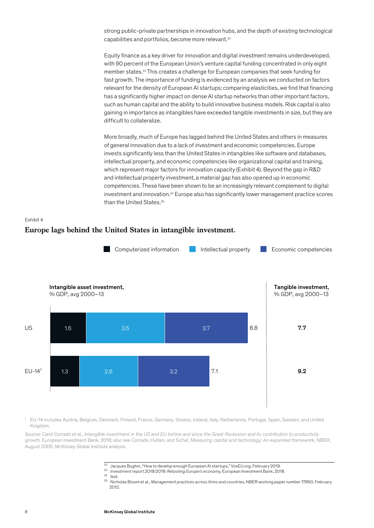strong public-private partnerships in innovation hubs, and the depth of existing technological capabilities and portfolios, become more relevant.<sup>22</sup>

Equity finance as a key driver for innovation and digital investment remains underdeveloped, with 90 percent of the European Union's venture capital funding concentrated in only eight member states.23 This creates a challenge for European companies that seek funding for fast growth. The importance of funding is evidenced by an analysis we conducted on factors relevant for the density of European AI startups; comparing elasticities, we find that financing has a significantly higher impact on dense AI startup networks than other important factors, such as human capital and the ability to build innovative business models. Risk capital is also gaining in importance as intangibles have exceeded tangible investments in size, but they are difficult to collateralize.

More broadly, much of Europe has lagged behind the United States and others in measures of general innovation due to a lack of investment and economic competencies. Europe invests significantly less than the United States in intangibles like software and databases, intellectual property, and economic competencies like organizational capital and training, which represent major factors for innovation capacity (Exhibit 4). Beyond the gap in R&D and intellectual property investment, a material gap has also opened up in economic competencies. These have been shown to be an increasingly relevant complement to digital investment and innovation.24 Europe also has significantly lower management practice scores than the United States.<sup>25</sup>





<sup>1</sup> EU-14 includes Austria, Belgium, Denmark, Finland, France, Germany, Greece, Ireland, Italy, Netherlands, Portugal, Spain, Sweden, and United Kingdom.

Source: Carol Corrado et al., *Intangible investment in the US and EU before and since the Great Recession and its contribution to productivity growth,* European Investment Bank, 2018; also see Corrado, Hulten, and Sichel, *Measuring capital and technology: An expanded framework,* NBER, August 2005; McKinsey Global Institute analysis

- <sup>22</sup> Jacques Bughin, "How to develop enough European AI startups," VoxEU.org, February 2019.
- <sup>23</sup> *Investment report 2018/2019: Retooling Europe's economy,* European Investment Bank, 2018.
- $24$  Ibid.

<sup>25</sup> Nicholas Bloom et al., *Management practices across firms and countries*, NBER working paper number 17850, February 2012.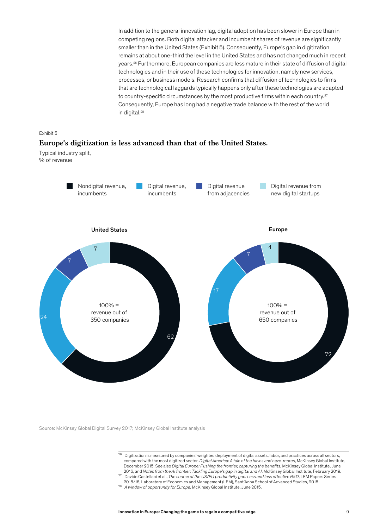In addition to the general innovation lag, digital adoption has been slower in Europe than in competing regions. Both digital attacker and incumbent shares of revenue are significantly smaller than in the United States (Exhibit 5). Consequently, Europe's gap in digitization remains at about one-third the level in the United States and has not changed much in recent years.26 Furthermore, European companies are less mature in their state of diffusion of digital technologies and in their use of these technologies for innovation, namely new services, processes, or business models. Research confirms that diffusion of technologies to firms that are technological laggards typically happens only after these technologies are adapted to country-specific circumstances by the most productive firms within each country.<sup>27</sup> Consequently, Europe has long had a negative trade balance with the rest of the world in digital.<sup>28</sup>



#### **Europe's digitization is less advanced than that of the United States.**

Typical industry split, % of revenue



Source: McKinsey Global Digital Survey 2017; McKinsey Global Institute analysis

- $26$  Digitization is measured by companies' weighted deployment of digital assets, labor, and practices across all sectors, compared with the most digitized sector. *Digital America: A tale of the haves and have-mores*, McKinsey Global Institute, December 2015. See also *Digital Europe: Pushing the frontier, capturing the benefits,* McKinsey Global Institute, June 2016, and *Notes from the AI frontier: Tackling Europe's gap in digital and AI*, McKinsey Global Institute, February 2019.
- 27 Davide Castellani et al., *The source of the US/EU productivity gap: Less and less effective R&D*, LEM Papers Series 2018/16, Laboratory of Economics and Management (LEM), Sant'Anna School of Advanced Studies, 2018.
- <sup>28</sup> *A window of opportunity for Europe*, McKinsey Global Institute, June 2015.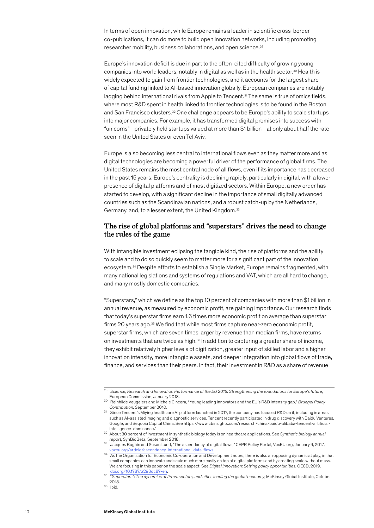In terms of open innovation, while Europe remains a leader in scientific cross-border co-publications, it can do more to build open innovation networks, including promoting researcher mobility, business collaborations, and open science.29

Europe's innovation deficit is due in part to the often-cited difficulty of growing young companies into world leaders, notably in digital as well as in the health sector.<sup>30</sup> Health is widely expected to gain from frontier technologies, and it accounts for the largest share of capital funding linked to AI-based innovation globally. European companies are notably lagging behind international rivals from Apple to Tencent.<sup>31</sup> The same is true of omics fields, where most R&D spent in health linked to frontier technologies is to be found in the Boston and San Francisco clusters.<sup>32</sup> One challenge appears to be Europe's ability to scale startups into major companies. For example, it has transformed digital promises into success with "unicorns"—privately held startups valued at more than \$1 billion—at only about half the rate seen in the United States or even Tel Aviv.

Europe is also becoming less central to international flows even as they matter more and as digital technologies are becoming a powerful driver of the performance of global firms. The United States remains the most central node of all flows, even if its importance has decreased in the past 15 years. Europe's centrality is declining rapidly, particularly in digital, with a lower presence of digital platforms and of most digitized sectors. Within Europe, a new order has started to develop, with a significant decline in the importance of small digitally advanced countries such as the Scandinavian nations, and a robust catch-up by the Netherlands, Germany, and, to a lesser extent, the United Kingdom.33

#### **The rise of global platforms and "superstars" drives the need to change the rules of the game**

With intangible investment eclipsing the tangible kind, the rise of platforms and the ability to scale and to do so quickly seem to matter more for a significant part of the innovation ecosystem.34 Despite efforts to establish a Single Market, Europe remains fragmented, with many national legislations and systems of regulations and VAT, which are all hard to change, and many mostly domestic companies.

"Superstars," which we define as the top 10 percent of companies with more than \$1 billion in annual revenue, as measured by economic profit, are gaining importance. Our research finds that today's superstar firms earn 1.6 times more economic profit on average than superstar firms 20 years ago.35 We find that while most firms capture near-zero economic profit, superstar firms, which are seven times larger by revenue than median firms, have returns on investments that are twice as high. $36$  In addition to capturing a greater share of income, they exhibit relatively higher levels of digitization, greater input of skilled labor and a higher innovation intensity, more intangible assets, and deeper integration into global flows of trade, finance, and services than their peers. In fact, their investment in R&D as a share of revenue

<sup>29</sup> *Science, Research and Innovation Performance of the EU 2018: Strengthening the foundations for Europe's future,*  European Commission, January 2018.

<sup>30</sup> Reinhilde Veugelers and Michele Cincera, "Young leading innovators and the EU's R&D intensity gap," *Bruegel Policy Contribution,* September 2010.

<sup>31</sup> Since Tencent's Miying healthcare AI platform launched in 2017, the company has focused R&D on it, including in areas such as AI-assisted imaging and diagnostic services. Tencent recently participated in drug discovery with Baidu Ventures, Google, and Sequoia Capital China. See https://www.cbinsights.com/research/china-baidu-alibaba-tencent-artificialintelligence-dominance/.

<sup>32</sup> About 30 percent of investment in synthetic biology today is on healthcare applications. See *Synthetic biology annual report,* SynBioBeta, September 2018.

<sup>33</sup> Jacques Bughin and Susan Lund, "The ascendancy of digital flows," CEPR Policy Portal, VoxEU.org, January 9, 2017, [voxeu.org/article/ascendancy-international-data-flows](file:///C:\Users\Peter%20Gumbel\AppData\Local\Microsoft\Windows\INetCache\Content.Outlook\8ZRKYFBJ\voxeu.org\article\ascendancy-international-data-flows).

<sup>34</sup> As the Organisation for Economic Co-operation and Development notes, there is also an opposing dynamic at play, in that small companies can innovate and scale much more easily on top of digital platforms and by creating scale without mass. We are focusing in this paper on the scale aspect. See *Digital innovation: Seizing policy opportunities,* OECD, 2019, loi.org/10.1787/a298dc87-en

<sup>35 &</sup>quot;*Superstars": The dynamics of firms, sectors, and cities leading the global economy*, McKinsey Global Institute, October 2018.

 $36$  Ibid.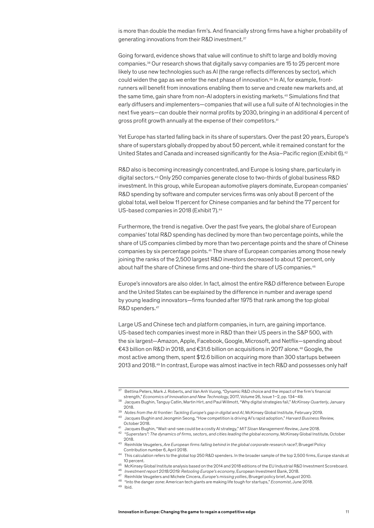<span id="page-12-0"></span>is more than double the median firm's. And financially strong firms have a higher probability of generating innovations from their R&D investment.<sup>37</sup>

Going forward, evidence shows that value will continue to shift to large and boldly moving companies.38 Our research shows that digitally savvy companies are 15 to 25 percent more likely to use new technologies such as AI (the range reflects differences by sector), which could widen the gap as we enter the next phase of innovation.<sup>39</sup> In AI, for example, frontrunners will benefit from innovations enabling them to serve and create new markets and, at the same time, gain share from non-AI adopters in existing markets.40 Simulations find that early diffusers and implementers—companies that will use a full suite of AI technologies in the next five years—can double their normal profits by 2030, bringing in an additional 4 percent of gross profit growth annually at the expense of their competitors.<sup>41</sup>

Yet Europe has started falling back in its share of superstars. Over the past 20 years, Europe's share of superstars globally dropped by about 50 percent, while it remained constant for the United States and Canada and increased significantly for the Asia–Pacific region (Exhibit 6).<sup>42</sup>

R&D also is becoming increasingly concentrated, and Europe is losing share, particularly in digital sectors.43 Only 250 companies generate close to two-thirds of global business R&D investment. In this group, while European automotive players dominate, European companies' R&D spending by software and computer services firms was only about 8 percent of the global total, well below 11 percent for Chinese companies and far behind the 77 percent for US-based companies in 2018 (Exhibit 7).<sup>44</sup>

Furthermore, the trend is negative. Over the past five years, the global share of European companies' total R&D spending has declined by more than two percentage points, while the share of US companies climbed by more than two percentage points and the share of Chinese companies by six percentage points.45 The share of European companies among those newly joining the ranks of the 2,500 largest R&D investors decreased to about 12 percent, only about half the share of Chinese firms and one-third the share of US companies.<sup>46</sup>

Europe's innovators are also older. In fact, almost the entire R&D difference between Europe and the United States can be explained by the difference in number and average spend by young leading innovators—firms founded after 1975 that rank among the top global R&D spenders.<sup>47</sup>

Large US and Chinese tech and platform companies, in turn, are gaining importance. US-based tech companies invest more in R&D than their US peers in the S&P 500, with the six largest—Amazon, Apple, Facebook, Google, Microsoft, and Netflix—spending about €43 billion on R&D in 2018, and €31.6 billion on acquisitions in 2017 alone.48 Google, the most active among them, spent \$12.6 billion on acquiring more than 300 startups between 2013 and 2018.49 In contrast, Europe was almost inactive in tech R&D and possesses only half

<sup>37</sup> Bettina Peters, Mark J. Roberts, and Van Anh Vuong, "Dynamic R&D choice and the impact of the firm's financial strength," *Economics of Innovation and New Technology*, 2017, Volume 26, Issue 1–2, pp. 134–49.

<sup>38</sup> Jacques Bughin, Tanguy Catlin, Martin Hirt, and Paul Willmott, "Why digital strategies fail," *McKinsey Quarterly*, January 2018.

<sup>39</sup> *Notes from the AI frontier: Tackling Europe's gap in digital and AI*, McKinsey Global Institute, February 2019.

<sup>40</sup> Jacques Bughin and Jeongmin Seong, "How competition is driving AI's rapid adoption," *Harvard Business Review*, October 2018.

<sup>41</sup> Jacques Bughin, "Wait-and-see could be a costly AI strategy," *MIT Sloan Management Review*, June 2018.

<sup>42 &</sup>quot;*Superstars": The dynamics of firms, sectors, and cities leading the global economy*, McKinsey Global Institute, October 2018.

<sup>43</sup> Reinhilde Veugelers, *Are European firms falling behind in the global corporate research race?*, Bruegel Policy Contribution number 6, April 2018.

<sup>44</sup> This calculation refers to the global top 250 R&D spenders. In the broader sample of the top 2,500 firms, Europe stands at 10 percent.

<sup>45</sup> McKinsey Global Institute analysis based on the 2014 and 2018 editions of the EU Industrial R&D Investment Scoreboard. 46 *Investment report 2018/2019: Retooling Europe's economy*, European Investment Bank, 2018.

<sup>47</sup> Reinhilde Veugelers and Michele Cincera, *Europe's missing yollies*, Bruegel policy brief, August 2010.

<sup>48 &</sup>quot;Into the danger zone: American tech giants are making life tough for startups," *Economist*, June 2018.

<sup>49</sup> Ibid.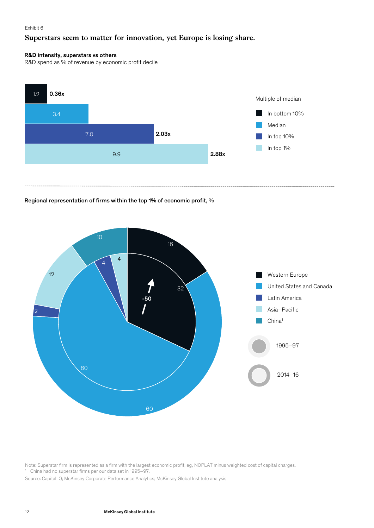#### Exhibit 6

#### **Superstars seem to matter for innovation, yet Europe is losing share.**

#### R&D intensity, superstars vs others

R&D spend as % of revenue by economic profit decile



#### Regional representation of firms within the top 1% of economic profit, %



Note: Superstar firm is represented as a firm with the largest economic profit, eg, NOPLAT minus weighted cost of capital charges.

<sup>1</sup> China had no superstar firms per our data set in 1995–97.

Source: Capital IQ; McKinsey Corporate Performance Analytics; McKinsey Global Institute analysis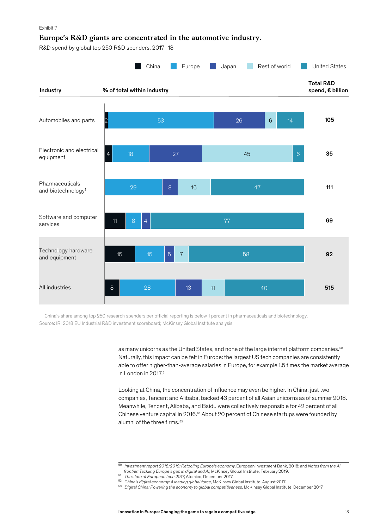#### Exhibit 7

#### **Europe's R&D giants are concentrated in the automotive industry.**

R&D spend by global top 250 R&D spenders, 2017–18



Source: IRI 2018 EU Industrial R&D investment scoreboard; McKinsey Global Institute analysis <sup>1</sup> China's share among top 250 research spenders per official reporting is below 1 percent in pharmaceuticals and biotechnology.

> as many unicorns as the United States, and none of the large internet platform companies.<sup>50</sup> Naturally, this impact can be felt in Europe: the largest US tech companies are consistently able to offer higher-than-average salaries in Europe, for example 1.5 times the market average in London in 2017.<sup>51</sup>

> Looking at China, the concentration of influence may even be higher. In China, just two companies, Tencent and Alibaba, backed 43 percent of all Asian unicorns as of summer 2018. Meanwhile, Tencent, Alibaba, and Baidu were collectively responsible for 42 percent of all Chinese venture capital in 2016.<sup>52</sup> About 20 percent of Chinese startups were founded by alumni of the three firms.<sup>53</sup>

<sup>50</sup> *Investment report 2018/2019: Retooling Europe's economy*, European Investment Bank, 2018; and *Notes from the AI frontier: Tackling Europe's gap in digital and AI*, McKinsey Global Institute, February 2019.

<sup>&</sup>lt;sup>51</sup> The state of European tech 2017, Atomico, December 2017.

<sup>52</sup> *China's digital economy: A leading global force*, McKinsey Global Institute, August 2017.

<sup>53</sup> *Digital China: Powering the economy to global competitiveness*, McKinsey Global Institute, December 2017.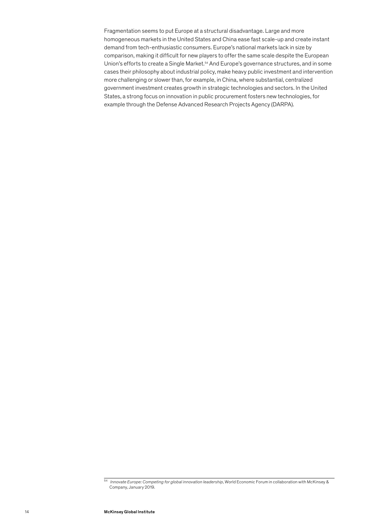Fragmentation seems to put Europe at a structural disadvantage. Large and more homogeneous markets in the United States and China ease fast scale-up and create instant demand from tech-enthusiastic consumers. Europe's national markets lack in size by comparison, making it difficult for new players to offer the same scale despite the European Union's efforts to create a Single Market.54 And Europe's governance structures, and in some cases their philosophy about industrial policy, make heavy public investment and intervention more challenging or slower than, for example, in China, where substantial, centralized government investment creates growth in strategic technologies and sectors. In the United States, a strong focus on innovation in public procurement fosters new technologies, for example through the Defense Advanced Research Projects Agency (DARPA).

<sup>54</sup> *Innovate Europe: Competing for global innovation leadership*, World Economic Forum in collaboration with McKinsey & Company, January 2019.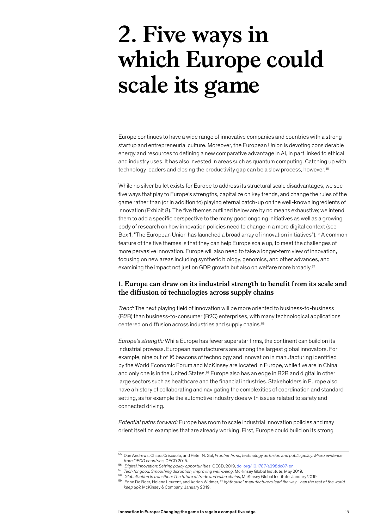## <span id="page-16-0"></span>**2. Five ways in which Europe could scale its game**

Europe continues to have a wide range of innovative companies and countries with a strong startup and entrepreneurial culture. Moreover, the European Union is devoting considerable energy and resources to defining a new comparative advantage in AI, in part linked to ethical and industry uses. It has also invested in areas such as quantum computing. Catching up with technology leaders and closing the productivity gap can be a slow process, however.<sup>55</sup>

While no silver bullet exists for Europe to address its structural scale disadvantages, we see five ways that play to Europe's strengths, capitalize on key trends, and change the rules of the game rather than (or in addition to) playing eternal catch-up on the well-known ingredients of innovation (Exhibit 8). The five themes outlined below are by no means exhaustive; we intend them to add a specific perspective to the many good ongoing initiatives as well as a growing body of research on how innovation policies need to change in a more digital context (see Box 1, "The European Union has launched a broad array of innovation initiatives").<sup>56</sup> A common feature of the five themes is that they can help Europe scale up, to meet the challenges of more pervasive innovation. Europe will also need to take a longer-term view of innovation, focusing on new areas including synthetic biology, genomics, and other advances, and examining the impact not just on GDP growth but also on welfare more broadly.<sup>57</sup>

#### **1. Europe can draw on its industrial strength to benefit from its scale and the diffusion of technologies across supply chains**

*Trend:* The next playing field of innovation will be more oriented to business-to-business (B2B) than business-to-consumer (B2C) enterprises, with many technological applications centered on diffusion across industries and supply chains.<sup>58</sup>

*Europe's strength:* While Europe has fewer superstar firms, the continent can build on its industrial prowess. European manufacturers are among the largest global innovators. For example, nine out of 16 beacons of technology and innovation in manufacturing identified by the World Economic Forum and McKinsey are located in Europe, while five are in China and only one is in the United States.<sup>59</sup> Europe also has an edge in B2B and digital in other large sectors such as healthcare and the financial industries. Stakeholders in Europe also have a history of collaborating and navigating the complexities of coordination and standard setting, as for example the automotive industry does with issues related to safety and connected driving.

*Potential paths forward:* Europe has room to scale industrial innovation policies and may orient itself on examples that are already working. First, Europe could build on its strong

<sup>55</sup> Dan Andrews, Chiara Criscuolo, and Peter N. Gal, *Frontier firms, technology diffusion and public policy: Micro evidence from OECD countries,* OECD 2015.

<sup>56</sup> *Digital innovation: Seizing policy opportunities,* OECD, 2019, [doi.org/10.1787/a298dc87-en](file:///C:\Users\Peter%20Gumbel\AppData\Local\Microsoft\Windows\INetCache\Content.Outlook\8ZRKYFBJ\doi.org\10.1787\a298dc87-en).

<sup>57</sup> *Tech for good: Smoothing disruption, improving well-being,* McKinsey Global Institute, May 2019. <sup>58</sup> *Globalization in transition: The future of trade and value chains,* McKinsey Global Institute, January 2019.

<sup>59</sup> Enno De Boer, Helena Leurent, and Adrian Widmer, *"Lighthouse" manufacturers lead the way—can the rest of the world keep up?,* McKinsey & Company, January 2019.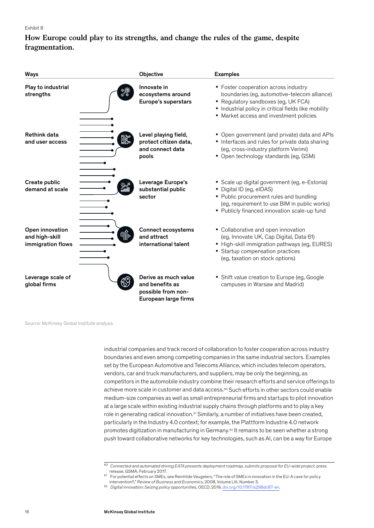#### Exhibit 8

#### **How Europe could play to its strengths, and change the rules of the game, despite fragmentation.**

| <b>Ways</b>                                            | Objective                                                                             | <b>Examples</b>                                                                                                                                                                                                                |
|--------------------------------------------------------|---------------------------------------------------------------------------------------|--------------------------------------------------------------------------------------------------------------------------------------------------------------------------------------------------------------------------------|
| Play to industrial<br>strengths                        | Innovate in<br>ecosystems around<br>Europe's superstars                               | • Foster cooperation across industry<br>boundaries (eg, automotive-telecom alliance)<br>• Regulatory sandboxes (eg, UK FCA)<br>• Industrial policy in critical fields like mobility<br>• Market access and investment policies |
| <b>Rethink data</b><br>◙~<br>and user access           | Level playing field,<br>protect citizen data,<br>and connect data<br>pools            | • Open government (and private) data and APIs<br>• Interfaces and rules for private data sharing<br>(eg, cross-industry platform Verimi)<br>• Open technology standards (eg, GSM)                                              |
| Create public<br>demand at scale                       | Leverage Europe's<br>substantial public<br>sector                                     | · Scale up digital government (eg, e-Estonia)<br>• Digital ID (eg, eIDAS)<br>• Public procurement rules and bundling<br>(eg, requirement to use BIM in public works)<br>• Publicly financed innovation scale-up fund           |
| Open innovation<br>and high-skill<br>immigration flows | <b>Connect ecosystems</b><br>and attract<br>international talent                      | • Collaborative and open innovation<br>(eg, Innovate UK, Cap Digital, Data 61)<br>• High-skill immigration pathways (eg, EURES)<br>• Startup compensation practices<br>(eg, taxation on stock options)                         |
| Leverage scale of<br>global firms                      | Derive as much value<br>and benefits as<br>possible from non-<br>European large firms | • Shift value creation to Europe (eg, Google<br>campuses in Warsaw and Madrid)                                                                                                                                                 |

Source: McKinsey Global Institute analysis

industrial companies and track record of collaboration to foster cooperation across industry boundaries and even among competing companies in the same industrial sectors. Examples set by the European Automotive and Telecoms Alliance, which includes telecom operators, vendors, car and truck manufacturers, and suppliers, may be only the beginning, as competitors in the automobile industry combine their research efforts and service offerings to achieve more scale in customer and data access.<sup>60</sup> Such efforts in other sectors could enable medium-size companies as well as small entrepreneurial firms and startups to pilot innovation at a large scale within existing industrial supply chains through platforms and to play a key role in generating radical innovation.<sup>61</sup> Similarly, a number of initiatives have been created, particularly in the Industry 4.0 context; for example, the Plattform Industrie 4.0 network promotes digitization in manufacturing in Germany.62 It remains to be seen whether a strong push toward collaborative networks for key technologies, such as AI, can be a way for Europe

 $\frac{60}{60}$  *Connected and automated driving EATA presents deployment roadmap, submits proposal for EU-wide project, press* release, GSMA, February 2017.

<sup>61</sup> For potential effects on SMEs, see Reinhilde Veugelers, "The role of SMEs in innovation in the EU: A case for policy intervention?," *Review of Business and Economics*, 2008, Volume LIII, Number 3.

<sup>62</sup> *Digital innovation: Seizing policy opportunities,* OECD, 2019, [doi.org/10.1787/a298dc87-en.](file:///C:\Users\Peter%20Gumbel\AppData\Local\Microsoft\Windows\INetCache\Content.Outlook\8ZRKYFBJ\doi.org\10.1787\a298dc87-en)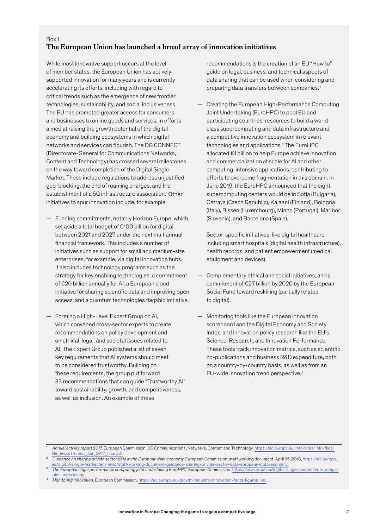#### Box 1. **The European Union has launched a broad array of innovation initiatives**

While most innovative support occurs at the level of member states, the European Union has actively supported innovation for many years and is currently accelerating its efforts, including with regard to critical trends such as the emergence of new frontier technologies, sustainability, and social inclusiveness. The EU has promoted greater access for consumers and businesses to online goods and services, in efforts aimed at raising the growth potential of the digital economy and building ecosystems in which digital networks and services can flourish. The DG CONNECT (Directorate-General for Communications Networks, Content and Technology) has crossed several milestones on the way toward completion of the Digital Single Market. These include regulations to address unjustified geo-blocking, the end of roaming charges, and the establishment of a 5G infrastructure association.<sup>1</sup> Other initiatives to spur innovation include, for example:

- Funding commitments, notably Horizon Europe, which set aside a total budget of €100 billion for digital between 2021 and 2027 under the next multiannual financial framework. This includes a number of initiatives such as support for small and medium-size enterprises, for example, via digital innovation hubs. It also includes technology programs such as the strategy for key enabling technologies; a commitment of €20 billion annually for AI; a European cloud initiative for sharing scientific data and improving open access; and a quantum technologies flagship initiative.
- Forming a High-Level Expert Group on AI, which convened cross-sector experts to create recommendations on policy development and on ethical, legal, and societal issues related to AI. The Expert Group published a list of seven key requirements that AI systems should meet to be considered trustworthy. Building on these requirements, the group put forward 33 recommendations that can guide "Trustworthy AI" toward sustainability, growth, and competitiveness, as well as inclusion. An example of these

recommendations is the creation of an EU "How to" guide on legal, business, and technical aspects of data sharing that can be used when considering and preparing data transfers between companies.<sup>2</sup>

- Creating the European High-Performance Computing Joint Undertaking (EuroHPC) to pool EU and participating countries' resources to build a worldclass supercomputing and data infrastructure and a competitive innovation ecosystem in relevant technologies and applications.3 The EuroHPC allocated €1 billion to help Europe achieve innovation and commercialization at scale for AI and other computing-intensive applications, contributing to efforts to overcome fragmentation in this domain. In June 2019, the EuroHPC announced that the eight supercomputing centers would be in Sofia (Bulgaria), Ostrava (Czech Republic), Kajaani (Finland), Bologna (Italy), Bissen (Luxembourg), Minho (Portugal), Maribor (Slovenia), and Barcelona (Spain).
- Sector-specific initiatives, like digital healthcare including smart hospitals (digital health infrastructure), health records, and patient empowerment (medical equipment and devices).
- Complementary ethical and social initiatives, and a commitment of €27 billion by 2020 by the European Social Fund toward reskilling (partially related to digital).
- Monitoring tools like the European innovation scoreboard and the Digital Economy and Society Index, and innovation policy research like the EU's Science, Research, and Innovation Performance. These tools track innovation metrics, such as scientific co-publications and business R&D expenditure, both on a country-by-country basis, as well as from an EU-wide innovation trend perspective.4

<sup>1</sup> *Annual activity report 2017*, European Commission, DG Communications, Networks, Content and Technology, [https://ec.europa.eu/info/sites/info/files/](https://ec.europa.eu/info/sites/info/files/file_import/cnect_aar_2017_final.pdf) file\_import/cnect\_aar\_2017\_final.pd

<sup>2</sup> *Guidance on sharing private sector data in the European data economy*, European Commission, staff working document, April 25, 2018, [https://ec.europa.](https://ec.europa.eu/digital-single-market/en/news/staff-working-document-guidance-sharing-private-sector-data-european-data-economy) [eu/digital-single-market/en/news/staff-working-document-guidance-sharing-private-sector-data-european-data-economy.](https://ec.europa.eu/digital-single-market/en/news/staff-working-document-guidance-sharing-private-sector-data-european-data-economy)<br>The European high-performance computing joint undertaking EuroHPC, European Commission, https://ec.europa.

[joint-undertaking.](https://ec.europa.eu/digital-single-market/en/eurohpc-joint-undertaking) <sup>4</sup> *Monitoring innovation*, European Commission, [https://ec.europa.eu/growth/industry/innovation/facts-figures\\_en](https://ec.europa.eu/growth/industry/innovation/facts-figures_en).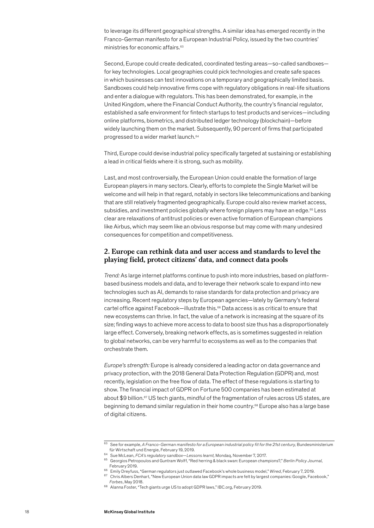<span id="page-19-0"></span>to leverage its different geographical strengths. A similar idea has emerged recently in the Franco-German manifesto for a European Industrial Policy, issued by the two countries' ministries for economic affairs.<sup>63</sup>

Second, Europe could create dedicated, coordinated testing areas—so-called sandboxes for key technologies. Local geographies could pick technologies and create safe spaces in which businesses can test innovations on a temporary and geographically limited basis. Sandboxes could help innovative firms cope with regulatory obligations in real-life situations and enter a dialogue with regulators. This has been demonstrated, for example, in the United Kingdom, where the Financial Conduct Authority, the country's financial regulator, established a safe environment for fintech startups to test products and services—including online platforms, biometrics, and distributed ledger technology (blockchain)—before widely launching them on the market. Subsequently, 90 percent of firms that participated progressed to a wider market launch.<sup>64</sup>

Third, Europe could devise industrial policy specifically targeted at sustaining or establishing a lead in critical fields where it is strong, such as mobility.

Last, and most controversially, the European Union could enable the formation of large European players in many sectors. Clearly, efforts to complete the Single Market will be welcome and will help in that regard, notably in sectors like telecommunications and banking that are still relatively fragmented geographically. Europe could also review market access, subsidies, and investment policies globally where foreign players may have an edge.<sup>65</sup> Less clear are relaxations of antitrust policies or even active formation of European champions like Airbus, which may seem like an obvious response but may come with many undesired consequences for competition and competitiveness.

#### **2. Europe can rethink data and user access and standards to level the playing field, protect citizens' data, and connect data pools**

*Trend:* As large internet platforms continue to push into more industries, based on platformbased business models and data, and to leverage their network scale to expand into new technologies such as AI, demands to raise standards for data protection and privacy are increasing. Recent regulatory steps by European agencies—lately by Germany's federal cartel office against Facebook—illustrate this.66 Data access is as critical to ensure that new ecosystems can thrive. In fact, the value of a network is increasing at the square of its size; finding ways to achieve more access to data to boost size thus has a disproportionately large effect. Conversely, breaking network effects, as is sometimes suggested in relation to global networks, can be very harmful to ecosystems as well as to the companies that orchestrate them.

*Europe's strength:* Europe is already considered a leading actor on data governance and privacy protection, with the 2018 General Data Protection Regulation (GDPR) and, most recently, legislation on the free flow of data. The effect of these regulations is starting to show. The financial impact of GDPR on Fortune 500 companies has been estimated at about \$9 billion.<sup>67</sup> US tech giants, mindful of the fragmentation of rules across US states, are beginning to demand similar regulation in their home country.<sup>68</sup> Europe also has a large base of digital citizens.

<sup>&</sup>lt;sup>63</sup> See for example, *A Franco-German manifesto for a European industrial policy fit for the 21st century, Bundesministerium<br>für Wirtschaft und Energie, February 19, 2019.* 

für Wirtschaft und Energie, February 19, 2019. 64 Sue McLean, *FCA's regulatory sandbox—Lessons learnt,* Mondaq, November 7, 2017.

<sup>65</sup> Georgios Petropoulos and Guntram Wolff, "Red herring & black swan: European champions?," *Berlin Policy Journal*, February 2019.

<sup>66</sup> Emily Dreyfuss, "German regulators just outlawed Facebook's whole business model," *Wired*, February 7, 2019.

<sup>&</sup>lt;sup>67</sup> Chris Albers Denhart, "New European Union data law GDPR impacts are felt by largest companies: Google, Facebook," *Forbes*, May 2018.

<sup>68</sup> Alanna Foster, "Tech giants urge US to adopt GDPR laws," IBC.org, February 2019.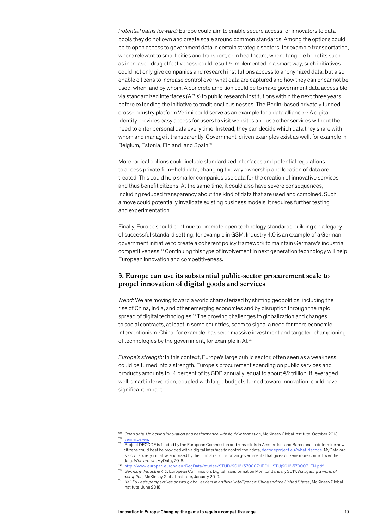<span id="page-20-0"></span>*Potential paths forward:* Europe could aim to enable secure access for innovators to data pools they do not own and create scale around common standards. Among the options could be to open access to government data in certain strategic sectors, for example transportation, where relevant to smart cities and transport, or in healthcare, where tangible benefits such as increased drug effectiveness could result.<sup>69</sup> Implemented in a smart way, such initiatives could not only give companies and research institutions access to anonymized data, but also enable citizens to increase control over what data are captured and how they can or cannot be used, when, and by whom. A concrete ambition could be to make government data accessible via standardized interfaces (APIs) to public research institutions within the next three years, before extending the initiative to traditional businesses. The Berlin-based privately funded cross-industry platform Verimi could serve as an example for a data alliance.<sup>70</sup> A digital identity provides easy access for users to visit websites and use other services without the need to enter personal data every time. Instead, they can decide which data they share with whom and manage it transparently. Government-driven examples exist as well, for example in Belgium, Estonia, Finland, and Spain.<sup>71</sup>

More radical options could include standardized interfaces and potential regulations to access private firm**–**held data, changing the way ownership and location of data are treated. This could help smaller companies use data for the creation of innovative services and thus benefit citizens. At the same time, it could also have severe consequences, including reduced transparency about the kind of data that are used and combined. Such a move could potentially invalidate existing business models; it requires further testing and experimentation.

Finally, Europe should continue to promote open technology standards building on a legacy of successful standard setting, for example in GSM. Industry 4.0 is an example of a German government initiative to create a coherent policy framework to maintain Germany's industrial competitiveness.72 Continuing this type of involvement in next generation technology will help European innovation and competitiveness.

#### **3. Europe can use its substantial public-sector procurement scale to propel innovation of digital goods and services**

*Trend:* We are moving toward a world characterized by shifting geopolitics, including the rise of China, India, and other emerging economies and by disruption through the rapid spread of digital technologies.73 The growing challenges to globalization and changes to social contracts, at least in some countries, seem to signal a need for more economic interventionism. China, for example, has seen massive investment and targeted championing of technologies by the government, for example in AI.74

*Europe's strength:* In this context, Europe's large public sector, often seen as a weakness, could be turned into a strength. Europe's procurement spending on public services and products amounts to 14 percent of its GDP annually, equal to about €2 trillion. If leveraged well, smart intervention, coupled with large budgets turned toward innovation, could have significant impact.

<sup>69</sup> *Open data: Unlocking innovation and performance with liquid information*, McKinsey Global Institute, October 2013. [verimi.de/en.](file:///C:\Users\Peter%20Gumbel\AppData\Local\Microsoft\Windows\INetCache\Content.Outlook\8ZRKYFBJ\verimi.de\en)

<sup>71</sup> Project DECODE is funded by the European Commission and runs pilots in Amsterdam and Barcelona to determine how citizens could best be provided with a digital interface to control their data, [decodeproject.eu/what-decode.](file:///C:\Users\Peter%20Gumbel\AppData\Local\Microsoft\Windows\INetCache\Content.Outlook\8ZRKYFBJ\decodeproject.eu\what-decode) MyData.org is a civil society initiative endorsed by the Finnish and Estonian governments that gives citizens more control over their data. *Who are we*, MyData, 2018.

<sup>72</sup> [http://www.europarl.europa.eu/RegData/etudes/STUD/2016/570007/IPOL\\_STU\(2016\)570007\\_EN.pdf](http://www.europarl.europa.eu/RegData/etudes/STUD/2016/570007/IPOL_STU(2016)570007_EN.pdf).

<sup>73</sup> *Germany: Industrie 4.0,* European Commission, Digital Transformation Monitor, January 2017; *Navigating a world of disruption,* McKinsey Global Institute, January 2019.

<sup>74</sup> *Kai-Fu Lee's perspectives on two global leaders in artificial intelligence: China and the United States*, McKinsey Global Institute, June 2018.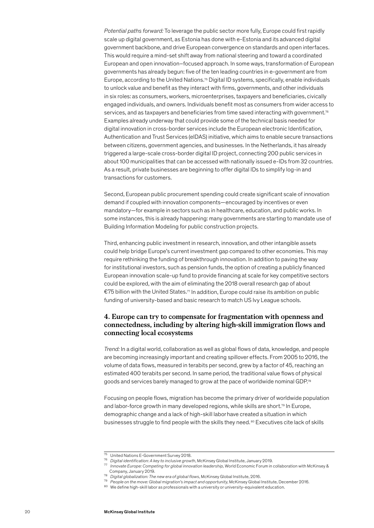<span id="page-21-0"></span>*Potential paths forward:* To leverage the public sector more fully, Europe could first rapidly scale up digital government, as Estonia has done with e-Estonia and its advanced digital government backbone, and drive European convergence on standards and open interfaces. This would require a mind-set shift away from national steering and toward a coordinated European and open innovation–focused approach. In some ways, transformation of European governments has already begun: five of the ten leading countries in e-government are from Europe, according to the United Nations.<sup>75</sup> Digital ID systems, specifically, enable individuals to unlock value and benefit as they interact with firms, governments, and other individuals in six roles: as consumers, workers, microenterprises, taxpayers and beneficiaries, civically engaged individuals, and owners. Individuals benefit most as consumers from wider access to services, and as taxpayers and beneficiaries from time saved interacting with government.<sup>76</sup> Examples already underway that could provide some of the technical basis needed for digital innovation in cross-border services include the European electronic Identification, Authentication and Trust Services (eIDAS) initiative, which aims to enable secure transactions between citizens, government agencies, and businesses. In the Netherlands, it has already triggered a large-scale cross-border digital ID project, connecting 200 public services in about 100 municipalities that can be accessed with nationally issued e-IDs from 32 countries. As a result, private businesses are beginning to offer digital IDs to simplify log-in and transactions for customers.

Second, European public procurement spending could create significant scale of innovation demand if coupled with innovation components—encouraged by incentives or even mandatory—for example in sectors such as in healthcare, education, and public works. In some instances, this is already happening: many governments are starting to mandate use of Building Information Modeling for public construction projects.

Third, enhancing public investment in research, innovation, and other intangible assets could help bridge Europe's current investment gap compared to other economies. This may require rethinking the funding of breakthrough innovation. In addition to paving the way for institutional investors, such as pension funds, the option of creating a publicly financed European innovation scale-up fund to provide financing at scale for key competitive sectors could be explored, with the aim of eliminating the 2018 overall research gap of about €75 billion with the United States.<sup>77</sup> In addition, Europe could raise its ambition on public funding of university-based and basic research to match US Ivy League schools.

#### **4. Europe can try to compensate for fragmentation with openness and connectedness, including by altering high-skill immigration flows and connecting local ecosystems**

*Trend:* In a digital world, collaboration as well as global flows of data, knowledge, and people are becoming increasingly important and creating spillover effects. From 2005 to 2016, the volume of data flows, measured in terabits per second, grew by a factor of 45, reaching an estimated 400 terabits per second. In same period, the traditional value flows of physical goods and services barely managed to grow at the pace of worldwide nominal GDP.78

Focusing on people flows, migration has become the primary driver of worldwide population and labor-force growth in many developed regions, while skills are short.<sup>79</sup> In Europe, demographic change and a lack of high-skill laborhave created a situation in which businesses struggle to find people with the skills they need.<sup>80</sup> Executives cite lack of skills

<sup>75</sup> United Nations E-Government Survey 2018.

<sup>76</sup> *Digital identification: A key to inclusive growth*, McKinsey Global Institute, January 2019.

<sup>77</sup> *Innovate Europe: Competing for global innovation leadership,* World Economic Forum in collaboration with McKinsey & Company, January 2019.

<sup>78</sup> *[Digital globalization: The new era of global flows](http://www.mckinsey.com/business-functions/digital-mckinsey/our-insights/digital-globalization-the-new-era-of-global-flows)*, McKinsey Global Institute, 2016.

<sup>79</sup> *People on the move: Global migration's impact and opportunity*, McKinsey Global Institute, December 2016.

<sup>80</sup> We define high-skill labor as professionals with a university or university-equivalent education.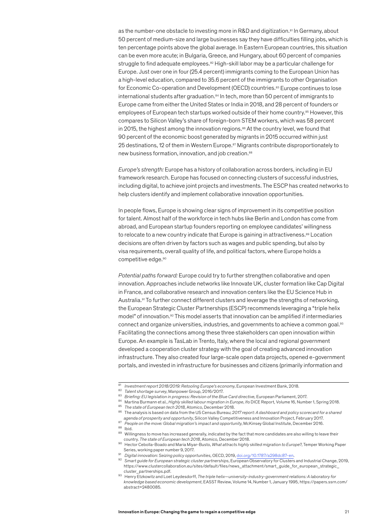as the number-one obstacle to investing more in R&D and digitization.<sup>81</sup> In Germany, about 50 percent of medium-size and large businesses say they have difficulties filling jobs, which is ten percentage points above the global average. In Eastern European countries, this situation can be even more acute; in Bulgaria, Greece, and Hungary, about 60 percent of companies struggle to find adequate employees.<sup>82</sup> High-skill labor may be a particular challenge for Europe. Just over one in four (25.4 percent) immigrants coming to the European Union has a high-level education, compared to 35.6 percent of the immigrants to other Organisation for Economic Co-operation and Development (OECD) countries.<sup>83</sup> Europe continues to lose international students after graduation.<sup>84</sup> In tech, more than 50 percent of immigrants to Europe came from either the United States or India in 2018, and 28 percent of founders or employees of European tech startups worked outside of their home country.<sup>85</sup> However, this compares to Silicon Valley's share of foreign-born STEM workers, which was 58 percent in 2015, the highest among the innovation regions.<sup>86</sup> At the country level, we found that 90 percent of the economic boost generated by migrants in 2015 occurred within just 25 destinations, 12 of them in Western Europe.<sup>87</sup> Migrants contribute disproportionately to new business formation, innovation, and job creation.88

*Europe's strength:* Europe has a history of collaboration across borders, including in EU framework research. Europe has focused on connecting clusters of successful industries, including digital, to achieve joint projects and investments. The ESCP has created networks to help clusters identify and implement collaborative innovation opportunities.

In people flows, Europe is showing clear signs of improvement in its competitive position for talent. Almost half of the workforce in tech hubs like Berlin and London has come from abroad, and European startup founders reporting on employee candidates' willingness to relocate to a new country indicate that Europe is gaining in attractiveness.<sup>89</sup> Location decisions are often driven by factors such as wages and public spending, but also by visa requirements, overall quality of life, and political factors, where Europe holds a competitive edge.<sup>90</sup>

*Potential paths forward:* Europe could try to further strengthen collaborative and open innovation. Approaches include networks like Innovate UK, cluster formation like Cap Digital in France, and collaborative research and innovation centers like the EU Science Hub in Australia.91 To further connect different clusters and leverage the strengths of networking, the European Strategic Cluster Partnerships (ESCP) recommends leveraging a "triple helix model" of innovation.92 This model asserts that innovation can be amplified if intermediaries connect and organize universities, industries, and governments to achieve a common goal.<sup>93</sup> Facilitating the connections among these three stakeholders can open innovation within Europe. An example is TasLab in Trento, Italy, where the local and regional government developed a cooperation cluster strategy with the goal of creating advanced innovation infrastructure. They also created four large-scale open data projects, opened e-government portals, and invested in infrastructure for businesses and citizens (primarily information and

<sup>81</sup> *Investment report 2018/2019: Retooling Europe's economy*, European Investment Bank, 2018.

<sup>82</sup> *Talent shortage survey*, Manpower Group, 2016/2017.

<sup>83</sup> *Briefing: EU legislation in progress: Revision of the Blue Card directive,* European Parliament, 2017.

<sup>84</sup> Martina Burmann et al., *Highly skilled labour migration in Europe*, ifo DICE Report*,* Volume 16, Number 1, Spring 2018. <sup>85</sup> *The state of European tech 2018,* Atomico, December 2018.

<sup>86</sup> The analysis is based on data from the US Census Bureau; *2017 report: A dashboard and policy scorecard for a shared* 

*agenda of prosperity and opportunity*, Silicon Valley Competitiveness and Innovation Project, February 2017.

<sup>87</sup> *People on the move: Global migration's impact and opportunity*, McKinsey Global Institute, December 2016. 88 Ibid.

<sup>89</sup> Willingness to move has increased generally, indicated by the fact that more candidates are also willing to leave their country. *The state of European tech 2018*, Atomico, December 2018.

<sup>90</sup> Hector Cebolla-Boado and Maria Miyar-Busto, *What attracts highly skilled migration to Europe?*, Temper Working Paper Series, working paper number 9, 2017.

<sup>91</sup> *Digital innovation: Seizing policy opportunities,* OECD, 2019, [doi.org/10.1787/a298dc87-en](file:///C:\Users\Peter%20Gumbel\AppData\Local\Microsoft\Windows\INetCache\Content.Outlook\8ZRKYFBJ\doi.org\10.1787\a298dc87-en).

<sup>92</sup> *Smart guide for European strategic cluster partnerships*, European Observatory for Clusters and Industrial Change, 2019, https://www.clustercollaboration.eu/sites/default/files/news\_attachment/smart\_guide\_for\_european\_strategic\_ cluster\_partnerships.pdf.

<sup>93</sup> Henry Etzkowitz and Loet Leydesdorff, *The triple helix—university-industry-government relations: A laboratory for knowledge based economic development*, EASST Review, Volume 14, Number 1, January 1995, https://papers.ssrn.com/ abstract=2480085.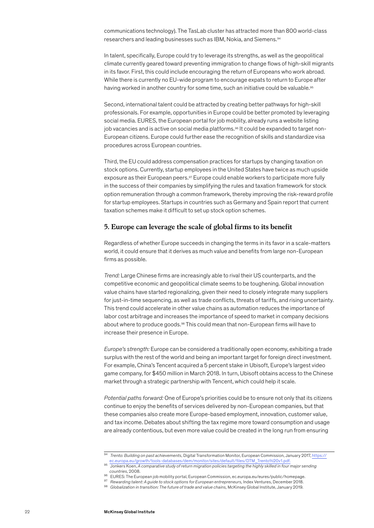<span id="page-23-0"></span>communications technology). The TasLab cluster has attracted more than 800 world-class researchers and leading businesses such as IBM, Nokia, and Siemens.94

In talent, specifically, Europe could try to leverage its strengths, as well as the geopolitical climate currently geared toward preventing immigration to change flows of high-skill migrants in its favor. First, this could include encouraging the return of Europeans who work abroad. While there is currently no EU-wide program to encourage expats to return to Europe after having worked in another country for some time, such an initiative could be valuable.<sup>95</sup>

Second, international talent could be attracted by creating better pathways for high-skill professionals. For example, opportunities in Europe could be better promoted by leveraging social media. EURES, the European portal for job mobility, already runs a website listing job vacancies and is active on social media platforms.96 It could be expanded to target non-European citizens. Europe could further ease the recognition of skills and standardize visa procedures across European countries.

Third, the EU could address compensation practices for startups by changing taxation on stock options. Currently, startup employees in the United States have twice as much upside exposure as their European peers.97 Europe could enable workers to participate more fully in the success of their companies by simplifying the rules and taxation framework for stock option remuneration through a common framework, thereby improving the risk-reward profile for startup employees. Startups in countries such as Germany and Spain report that current taxation schemes make it difficult to set up stock option schemes.

#### **5. Europe can leverage the scale of global firms to its benefit**

Regardless of whether Europe succeeds in changing the terms in its favor in a scale-matters world, it could ensure that it derives as much value and benefits from large non-European firms as possible.

*Trend:* Large Chinese firms are increasingly able to rival their US counterparts, and the competitive economic and geopolitical climate seems to be toughening. Global innovation value chains have started regionalizing, given their need to closely integrate many suppliers for just-in-time sequencing, as well as trade conflicts, threats of tariffs, and rising uncertainty. This trend could accelerate in other value chains as automation reduces the importance of labor cost arbitrage and increases the importance of speed to market in company decisions about where to produce goods.98 This could mean that non-European firms will have to increase their presence in Europe.

*Europe's strength:* Europe can be considered a traditionally open economy, exhibiting a trade surplus with the rest of the world and being an important target for foreign direct investment. For example, China's Tencent acquired a 5 percent stake in Ubisoft, Europe's largest video game company, for \$450 million in March 2018. In turn, Ubisoft obtains access to the Chinese market through a strategic partnership with Tencent, which could help it scale.

*Potential paths forward:* One of Europe's priorities could be to ensure not only that its citizens continue to enjoy the benefits of services delivered by non-European companies, but that these companies also create more Europe-based employment, innovation, customer value, and tax income. Debates about shifting the tax regime more toward consumption and usage are already contentious, but even more value could be created in the long run from ensuring

<sup>94</sup> *Trento: Building on past achievements*, Digital Transformation Monitor, European Commission, January 2017, [https://](https://ec.europa.eu/growth/tools-databases/dem/monitor/sites/default/files/DTM_Trento%20v1.pdf) [ec.europa.eu/growth/tools-databases/dem/monitor/sites/default/files/DTM\\_Trento%20v1.pdf](https://ec.europa.eu/growth/tools-databases/dem/monitor/sites/default/files/DTM_Trento%20v1.pdf).

<sup>95</sup> Jonkers Koen, *A comparative study of return migration policies targeting the highly skilled in four major sending countries*, 2008.

<sup>96</sup> EURES: The European job mobility portal, European Commission, ec.europa.eu/eures/public/homepage.

<sup>97</sup> *Rewarding talent: A guide to stock options for European entrepreneurs,* Index Ventures, December 2018.

<sup>98</sup> *Globalization in transition: The future of trade and value chains,* McKinsey Global Institute, January 2019.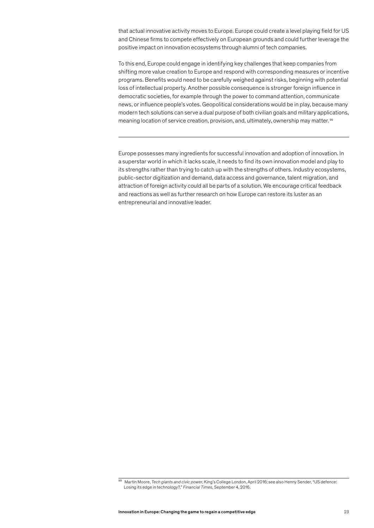that actual innovative activity moves to Europe. Europe could create a level playing field for US and Chinese firms to compete effectively on European grounds and could further leverage the positive impact on innovation ecosystems through alumni of tech companies.

To this end, Europe could engage in identifying key challenges that keep companies from shifting more value creation to Europe and respond with corresponding measures or incentive programs. Benefits would need to be carefully weighed against risks, beginning with potential loss of intellectual property. Another possible consequence is stronger foreign influence in democratic societies, for example through the power to command attention, communicate news, or influence people's votes. Geopolitical considerations would be in play, because many modern tech solutions can serve a dual purpose of both civilian goals and military applications, meaning location of service creation, provision, and, ultimately, ownership may matter. <sup>99</sup>

Europe possesses many ingredients for successful innovation and adoption of innovation. In a superstar world in which it lacks scale, it needs to find its own innovation model and play to its strengths rather than trying to catch up with the strengths of others. Industry ecosystems, public-sector digitization and demand, data access and governance, talent migration, and attraction of foreign activity could all be parts of a solution. We encourage critical feedback and reactions as well as further research on how Europe can restore its luster as an entrepreneurial and innovative leader.

<sup>99</sup> Martin Moore, *Tech giants and civic power*, King's College London, April 2016; see also Henny Sender, "US defence: Losing its edge in technology?," *Financial Times*, September 4, 2016.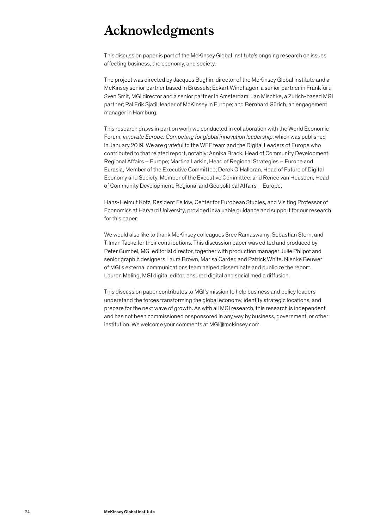## <span id="page-25-0"></span>**Acknowledgments**

This discussion paper is part of the McKinsey Global Institute's ongoing research on issues affecting business, the economy, and society.

The project was directed by Jacques Bughin, director of the McKinsey Global Institute and a McKinsey senior partner based in Brussels; Eckart Windhagen, a senior partner in Frankfurt; Sven Smit, MGI director and a senior partner in Amsterdam; Jan Mischke, a Zurich-based MGI partner; Pal Erik Sjatil, leader of McKinsey in Europe; and Bernhard Gürich, an engagement manager in Hamburg.

This research draws in part on work we conducted in collaboration with the World Economic Forum, *Innovate Europe: Competing for global innovation leadership*, which was published in January 2019. We are grateful to the WEF team and the Digital Leaders of Europe who contributed to that related report, notably: Annika Brack, Head of Community Development, Regional Affairs – Europe; Martina Larkin, Head of Regional Strategies – Europe and Eurasia, Member of the Executive Committee; Derek O'Halloran, Head of Future of Digital Economy and Society, Member of the Executive Committee; and Renée van Heusden, Head of Community Development, Regional and Geopolitical Affairs – Europe.

Hans-Helmut Kotz, Resident Fellow, Center for European Studies, and Visiting Professor of Economics at Harvard University, provided invaluable guidance and support for our research for this paper.

We would also like to thank McKinsey colleagues Sree Ramaswamy, Sebastian Stern, and Tilman Tacke for their contributions. This discussion paper was edited and produced by Peter Gumbel, MGI editorial director, together with production manager Julie Philpot and senior graphic designers Laura Brown, Marisa Carder, and Patrick White. Nienke Beuwer of MGI's external communications team helped disseminate and publicize the report. Lauren Meling, MGI digital editor, ensured digital and social media diffusion.

This discussion paper contributes to MGI's mission to help business and policy leaders understand the forces transforming the global economy, identify strategic locations, and prepare for the next wave of growth. As with all MGI research, this research is independent and has not been commissioned or sponsored in any way by business, government, or other institution. We welcome your comments at MGI@mckinsey.com.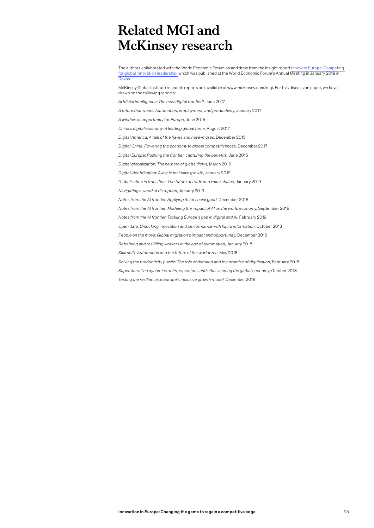## <span id="page-26-0"></span>**Related MGI and McKinsey research**

The authors collaborated with the World Economic Forum on and drew from the insight report [Innovate Europe: Competing](https://www.weforum.org/reports/innovate-europe-competing-for-global-innovation-leadership)  [for](https://www.weforum.org/reports/innovate-europe-competing-for-global-innovation-leadership) global innovation leadership, which was published at the World Economic Forum's Annual Meeting in January 2019 in Davos.

McKinsey Global Institute research reports are available at www.mckinsey.com/mgi. For this discussion paper, we have drawn on the following reports:

*Artificial intelligence: The next digital frontier?,* June 2017

*A future that works: Automation, employment, and productivity,* January 2017

*A window of opportunity for Europe,* June 2015

*China's digital economy: A leading global force,* August 2017

*Digital America: A tale of the haves and have-mores,* December 2015

*Digital China: Powering the economy to global competitiveness,* December 2017

*Digital Europe: Pushing the frontier, capturing the benefits,* June 2016

*Digital globalization: The new era of global flows,* March 2016

*Digital identification: A key to inclusive growth,* January 2019

*Globalization in transition: The future of trade and value chains,* January 2019

*Navigating a world of disruption,* January 2019

*Notes from the AI frontier: Applying AI for social good,* December 2018

*Notes from the AI frontier: Modeling the impact of AI on the world economy,* September 2018

*Notes from the AI frontier: Tackling Europe's gap in digital and AI*, February 2019

*Open data: Unlocking innovation and performance with liquid information,* October 2013

*People on the move: Global migration's impact and opportunity,* December 2016

*Retraining and reskilling workers in the age of automation,* January 2018

*Skill shift: Automation and the future of the workforce,* May 2018

Solving the productivity puzzle: The role of demand and the promise of digitization, February 2018

*Superstars: The dynamics of firms, sectors, and cities leading the global economy,* October 2018

*Testing the resilience of Europe's inclusive growth model,* December 2018